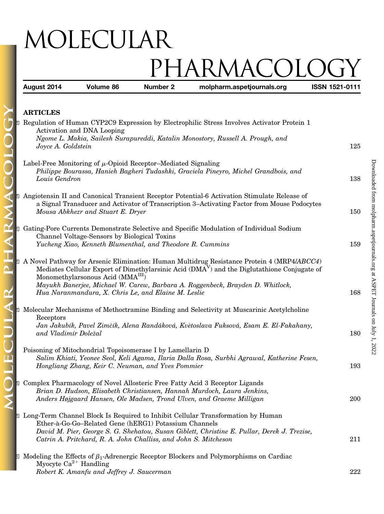## MOLECULAR PHARMACOLOGY<br>Number 2 molpharm.aspetjournals.org ISSN 1521-0111

August 2014 Volume 86 Number 2 molpharm.aspetjournals.org ISSN 1521-01111-111111

| <b>ARTICLES</b> |
|-----------------|
|                 |

PHARMA

AR

H

| <b>Example 2</b> Regulation of Human CYP2C9 Expression by Electrophilic Stress Involves Activator Protein 1<br>Activation and DNA Looping<br>Ngome L. Makia, Sailesh Surapureddi, Katalin Monostory, Russell A. Prough, and<br>Joyce A. Goldstein                                                                                                                                             | 125 |
|-----------------------------------------------------------------------------------------------------------------------------------------------------------------------------------------------------------------------------------------------------------------------------------------------------------------------------------------------------------------------------------------------|-----|
| Label-Free Monitoring of $\mu$ -Opioid Receptor-Mediated Signaling<br>Philippe Bourassa, Hanieh Bagheri Tudashki, Graciela Pineyro, Michel Grandbois, and<br>Louis Gendron                                                                                                                                                                                                                    | 138 |
| Angiotensin II and Canonical Transient Receptor Potential-6 Activation Stimulate Release of<br>$\overline{\mathbf{S}}$<br>a Signal Transducer and Activator of Transcription 3-Activating Factor from Mouse Podocytes<br>Mousa Abkhezr and Stuart E. Dryer                                                                                                                                    | 150 |
| <b>Example 3</b> Gating-Pore Currents Demonstrate Selective and Specific Modulation of Individual Sodium<br>Channel Voltage-Sensors by Biological Toxins<br>Yucheng Xiao, Kenneth Blumenthal, and Theodore R. Cummins                                                                                                                                                                         | 159 |
| <b>E</b> A Novel Pathway for Arsenic Elimination: Human Multidrug Resistance Protein 4 (MRP4/ABCC4)<br>Mediates Cellular Export of Dimethylarsinic Acid $(DMAV)$ and the Diglutathione Conjugate of<br>Monomethylarsonous Acid (MMA <sup>III</sup> )<br>Mayukh Banerjee, Michael W. Carew, Barbara A. Roggenbeck, Brayden D. Whitlock,<br>Hua Naranmandura, X. Chris Le, and Elaine M. Leslie | 168 |
| <b>E</b> Molecular Mechanisms of Methoctramine Binding and Selectivity at Muscarinic Acetylcholine<br>Receptors<br>Jan Jakubík, Pavel Zimčík, Alena Randáková, Květoslava Fuksová, Esam E. El-Fakahany,<br>and Vladimír Doležal                                                                                                                                                               | 180 |
| Poisoning of Mitochondrial Topoisomerase I by Lamellarin D<br>Salim Khiati, Yeonee Seol, Keli Agama, Ilaria Dalla Rosa, Surbhi Agrawal, Katherine Fesen,<br>Hongliang Zhang, Keir C. Neuman, and Yves Pommier                                                                                                                                                                                 | 193 |
| <b>E</b> Complex Pharmacology of Novel Allosteric Free Fatty Acid 3 Receptor Ligands<br>Brian D. Hudson, Elisabeth Christiansen, Hannah Murdoch, Laura Jenkins,<br>Anders Højgaard Hansen, Ole Madsen, Trond Ulven, and Graeme Milligan                                                                                                                                                       | 200 |
| <b>E</b> Long-Term Channel Block Is Required to Inhibit Cellular Transformation by Human<br>Ether-à-Go-Go-Related Gene (hERG1) Potassium Channels<br>David M. Pier, George S. G. Shehatou, Susan Giblett, Christine E. Pullar, Derek J. Trezise,<br>Catrin A. Pritchard, R. A. John Challiss, and John S. Mitcheson                                                                           | 211 |
| Modeling the Effects of $\beta_1$ -Adrenergic Receptor Blockers and Polymorphisms on Cardiac<br>$\mathbf{E}$<br>Myocyte $Ca^{2+}$ Handling<br>Robert K. Amanfu and Jeffrey J. Saucerman                                                                                                                                                                                                       | 222 |